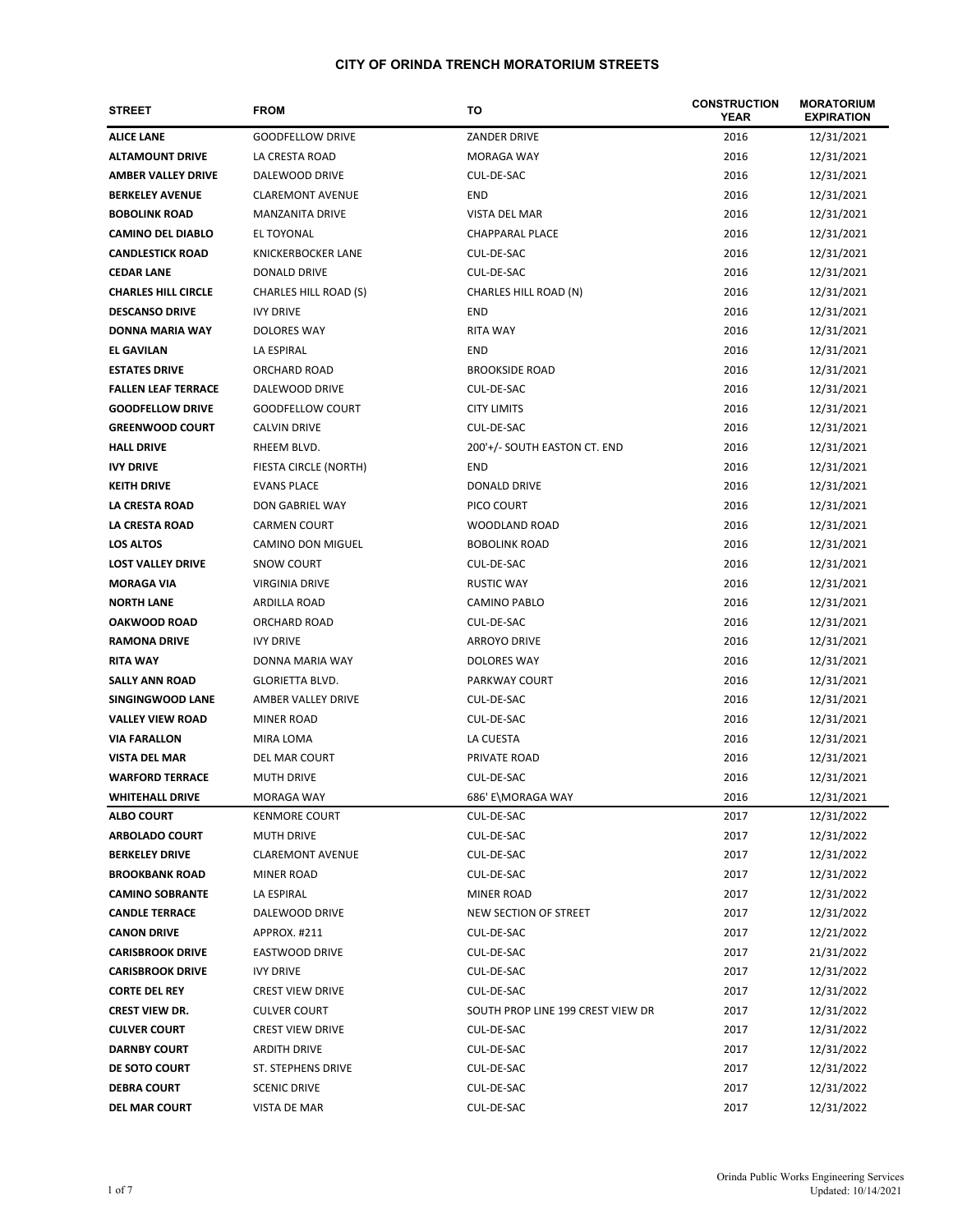| <b>STREET</b>              | <b>FROM</b>                  | то                                | <b>CONSTRUCTION</b><br><b>YEAR</b> | <b>MORATORIUM</b><br><b>EXPIRATION</b> |
|----------------------------|------------------------------|-----------------------------------|------------------------------------|----------------------------------------|
| <b>ALICE LANE</b>          | <b>GOODFELLOW DRIVE</b>      | <b>ZANDER DRIVE</b>               | 2016                               | 12/31/2021                             |
| <b>ALTAMOUNT DRIVE</b>     | LA CRESTA ROAD               | <b>MORAGA WAY</b>                 | 2016                               | 12/31/2021                             |
| <b>AMBER VALLEY DRIVE</b>  | DALEWOOD DRIVE               | CUL-DE-SAC                        | 2016                               | 12/31/2021                             |
| <b>BERKELEY AVENUE</b>     | <b>CLAREMONT AVENUE</b>      | END                               | 2016                               | 12/31/2021                             |
| <b>BOBOLINK ROAD</b>       | <b>MANZANITA DRIVE</b>       | VISTA DEL MAR                     | 2016                               | 12/31/2021                             |
| <b>CAMINO DEL DIABLO</b>   | EL TOYONAL                   | <b>CHAPPARAL PLACE</b>            | 2016                               | 12/31/2021                             |
| <b>CANDLESTICK ROAD</b>    | <b>KNICKERBOCKER LANE</b>    | CUL-DE-SAC                        | 2016                               | 12/31/2021                             |
| <b>CEDAR LANE</b>          | DONALD DRIVE                 | CUL-DE-SAC                        | 2016                               | 12/31/2021                             |
| <b>CHARLES HILL CIRCLE</b> | <b>CHARLES HILL ROAD (S)</b> | CHARLES HILL ROAD (N)             | 2016                               | 12/31/2021                             |
| <b>DESCANSO DRIVE</b>      | <b>IVY DRIVE</b>             | <b>END</b>                        | 2016                               | 12/31/2021                             |
| <b>DONNA MARIA WAY</b>     | <b>DOLORES WAY</b>           | <b>RITA WAY</b>                   | 2016                               | 12/31/2021                             |
| <b>EL GAVILAN</b>          | LA ESPIRAL                   | <b>END</b>                        | 2016                               | 12/31/2021                             |
| <b>ESTATES DRIVE</b>       | ORCHARD ROAD                 | <b>BROOKSIDE ROAD</b>             | 2016                               | 12/31/2021                             |
| <b>FALLEN LEAF TERRACE</b> | DALEWOOD DRIVE               | CUL-DE-SAC                        | 2016                               | 12/31/2021                             |
| <b>GOODFELLOW DRIVE</b>    | <b>GOODFELLOW COURT</b>      | <b>CITY LIMITS</b>                | 2016                               | 12/31/2021                             |
| <b>GREENWOOD COURT</b>     | <b>CALVIN DRIVE</b>          | CUL-DE-SAC                        | 2016                               | 12/31/2021                             |
| <b>HALL DRIVE</b>          | RHEEM BLVD.                  | 200'+/- SOUTH EASTON CT. END      | 2016                               | 12/31/2021                             |
| <b>IVY DRIVE</b>           | FIESTA CIRCLE (NORTH)        | END                               | 2016                               | 12/31/2021                             |
| <b>KEITH DRIVE</b>         | <b>EVANS PLACE</b>           | <b>DONALD DRIVE</b>               | 2016                               | 12/31/2021                             |
| <b>LA CRESTA ROAD</b>      | DON GABRIEL WAY              | PICO COURT                        | 2016                               | 12/31/2021                             |
| LA CRESTA ROAD             | <b>CARMEN COURT</b>          | WOODLAND ROAD                     | 2016                               | 12/31/2021                             |
| <b>LOS ALTOS</b>           | CAMINO DON MIGUEL            | <b>BOBOLINK ROAD</b>              | 2016                               | 12/31/2021                             |
| <b>LOST VALLEY DRIVE</b>   | SNOW COURT                   | CUL-DE-SAC                        | 2016                               | 12/31/2021                             |
| <b>MORAGA VIA</b>          | <b>VIRGINIA DRIVE</b>        | <b>RUSTIC WAY</b>                 | 2016                               | 12/31/2021                             |
| <b>NORTH LANE</b>          | ARDILLA ROAD                 | CAMINO PABLO                      | 2016                               | 12/31/2021                             |
| <b>OAKWOOD ROAD</b>        | ORCHARD ROAD                 | CUL-DE-SAC                        | 2016                               | 12/31/2021                             |
| <b>RAMONA DRIVE</b>        | <b>IVY DRIVE</b>             | <b>ARROYO DRIVE</b>               | 2016                               | 12/31/2021                             |
| <b>RITA WAY</b>            | DONNA MARIA WAY              | <b>DOLORES WAY</b>                | 2016                               | 12/31/2021                             |
| <b>SALLY ANN ROAD</b>      | <b>GLORIETTA BLVD.</b>       | <b>PARKWAY COURT</b>              | 2016                               | 12/31/2021                             |
| SINGINGWOOD LANE           | <b>AMBER VALLEY DRIVE</b>    | CUL-DE-SAC                        | 2016                               | 12/31/2021                             |
| <b>VALLEY VIEW ROAD</b>    | <b>MINER ROAD</b>            | CUL-DE-SAC                        | 2016                               | 12/31/2021                             |
| <b>VIA FARALLON</b>        | MIRA LOMA                    | LA CUESTA                         | 2016                               | 12/31/2021                             |
| <b>VISTA DEL MAR</b>       | DEL MAR COURT                | PRIVATE ROAD                      | 2016                               | 12/31/2021                             |
| <b>WARFORD TERRACE</b>     | <b>MUTH DRIVE</b>            | CUL-DE-SAC                        | 2016                               | 12/31/2021                             |
| <b>WHITEHALL DRIVE</b>     | MORAGA WAY                   | 686' E\MORAGA WAY                 | 2016                               | 12/31/2021                             |
| <b>ALBO COURT</b>          | <b>KENMORE COURT</b>         | CUL-DE-SAC                        | 2017                               | 12/31/2022                             |
| <b>ARBOLADO COURT</b>      | <b>MUTH DRIVE</b>            | CUL-DE-SAC                        | 2017                               | 12/31/2022                             |
| <b>BERKELEY DRIVE</b>      | <b>CLAREMONT AVENUE</b>      | CUL-DE-SAC                        | 2017                               | 12/31/2022                             |
| <b>BROOKBANK ROAD</b>      | <b>MINER ROAD</b>            | CUL-DE-SAC                        | 2017                               | 12/31/2022                             |
| <b>CAMINO SOBRANTE</b>     | LA ESPIRAL                   | <b>MINER ROAD</b>                 | 2017                               | 12/31/2022                             |
| <b>CANDLE TERRACE</b>      | DALEWOOD DRIVE               | NEW SECTION OF STREET             | 2017                               | 12/31/2022                             |
| <b>CANON DRIVE</b>         | APPROX. #211                 | CUL-DE-SAC                        | 2017                               | 12/21/2022                             |
| <b>CARISBROOK DRIVE</b>    | <b>EASTWOOD DRIVE</b>        | CUL-DE-SAC                        | 2017                               | 21/31/2022                             |
| <b>CARISBROOK DRIVE</b>    | <b>IVY DRIVE</b>             | CUL-DE-SAC                        | 2017                               | 12/31/2022                             |
| <b>CORTE DEL REY</b>       | <b>CREST VIEW DRIVE</b>      | CUL-DE-SAC                        | 2017                               | 12/31/2022                             |
| <b>CREST VIEW DR.</b>      | <b>CULVER COURT</b>          | SOUTH PROP LINE 199 CREST VIEW DR | 2017                               | 12/31/2022                             |
| <b>CULVER COURT</b>        | <b>CREST VIEW DRIVE</b>      | CUL-DE-SAC                        | 2017                               | 12/31/2022                             |
| <b>DARNBY COURT</b>        | <b>ARDITH DRIVE</b>          | CUL-DE-SAC                        | 2017                               | 12/31/2022                             |
| DE SOTO COURT              | ST. STEPHENS DRIVE           | CUL-DE-SAC                        | 2017                               | 12/31/2022                             |
| <b>DEBRA COURT</b>         | <b>SCENIC DRIVE</b>          | CUL-DE-SAC                        | 2017                               | 12/31/2022                             |
| <b>DEL MAR COURT</b>       | VISTA DE MAR                 | CUL-DE-SAC                        | 2017                               | 12/31/2022                             |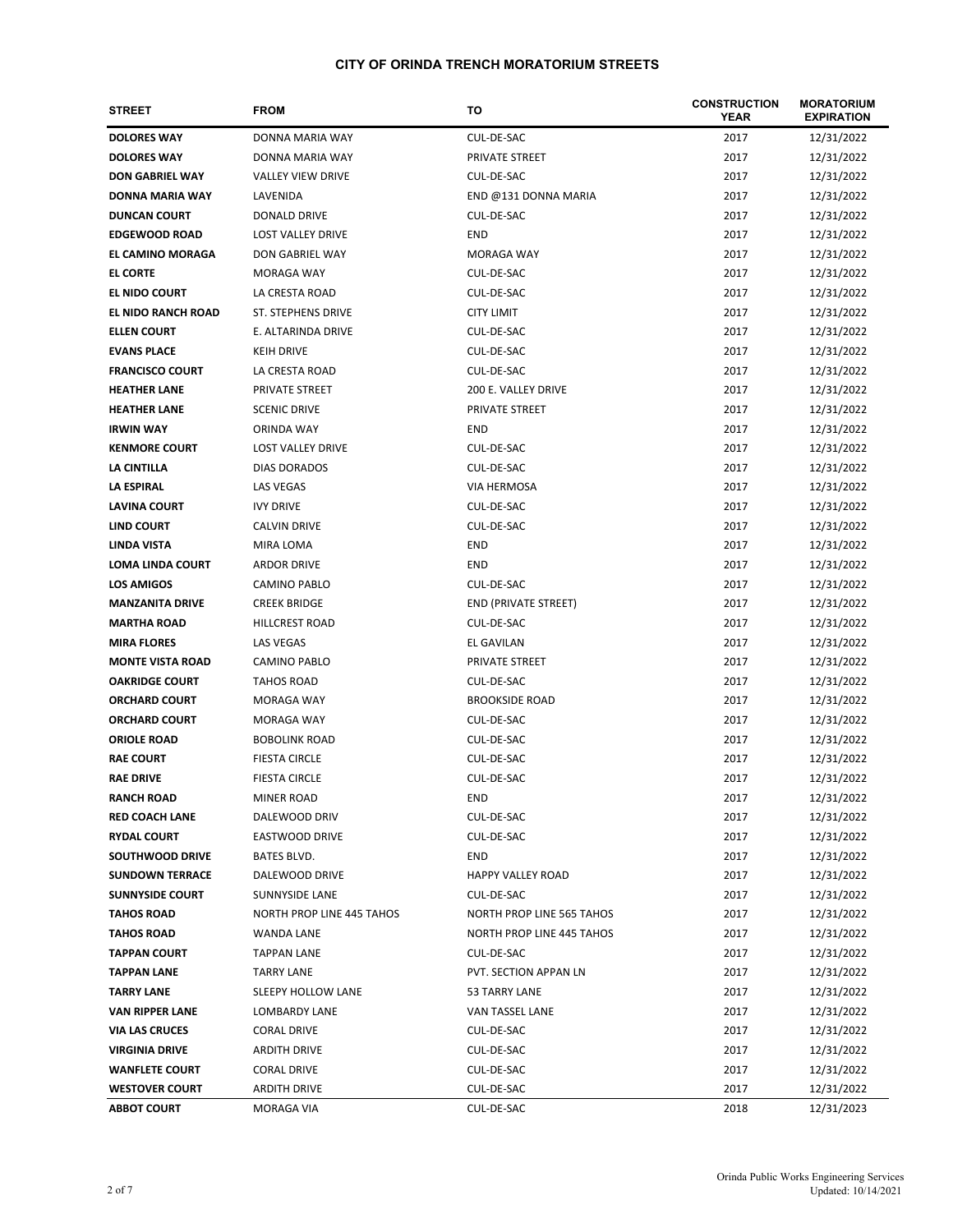| <b>STREET</b>           | <b>FROM</b>                      | то                        | <b>CONSTRUCTION</b><br><b>YEAR</b> | <b>MORATORIUM</b><br><b>EXPIRATION</b> |
|-------------------------|----------------------------------|---------------------------|------------------------------------|----------------------------------------|
| <b>DOLORES WAY</b>      | DONNA MARIA WAY                  | CUL-DE-SAC                | 2017                               | 12/31/2022                             |
| <b>DOLORES WAY</b>      | DONNA MARIA WAY                  | PRIVATE STREET            | 2017                               | 12/31/2022                             |
| <b>DON GABRIEL WAY</b>  | <b>VALLEY VIEW DRIVE</b>         | CUL-DE-SAC                | 2017                               | 12/31/2022                             |
| <b>DONNA MARIA WAY</b>  | LAVENIDA                         | END @131 DONNA MARIA      | 2017                               | 12/31/2022                             |
| <b>DUNCAN COURT</b>     | DONALD DRIVE                     | CUL-DE-SAC                | 2017                               | 12/31/2022                             |
| <b>EDGEWOOD ROAD</b>    | <b>LOST VALLEY DRIVE</b>         | END                       | 2017                               | 12/31/2022                             |
| EL CAMINO MORAGA        | DON GABRIEL WAY                  | <b>MORAGA WAY</b>         | 2017                               | 12/31/2022                             |
| <b>EL CORTE</b>         | MORAGA WAY                       | CUL-DE-SAC                | 2017                               | 12/31/2022                             |
| EL NIDO COURT           | LA CRESTA ROAD                   | CUL-DE-SAC                | 2017                               | 12/31/2022                             |
| EL NIDO RANCH ROAD      | ST. STEPHENS DRIVE               | <b>CITY LIMIT</b>         | 2017                               | 12/31/2022                             |
| <b>ELLEN COURT</b>      | E. ALTARINDA DRIVE               | CUL-DE-SAC                | 2017                               | 12/31/2022                             |
| <b>EVANS PLACE</b>      | <b>KEIH DRIVE</b>                | CUL-DE-SAC                | 2017                               | 12/31/2022                             |
| <b>FRANCISCO COURT</b>  | LA CRESTA ROAD                   | CUL-DE-SAC                | 2017                               | 12/31/2022                             |
| <b>HEATHER LANE</b>     | PRIVATE STREET                   | 200 E. VALLEY DRIVE       | 2017                               | 12/31/2022                             |
| <b>HEATHER LANE</b>     | <b>SCENIC DRIVE</b>              | PRIVATE STREET            | 2017                               | 12/31/2022                             |
| <b>IRWIN WAY</b>        | ORINDA WAY                       | END                       | 2017                               | 12/31/2022                             |
| <b>KENMORE COURT</b>    | <b>LOST VALLEY DRIVE</b>         | CUL-DE-SAC                | 2017                               | 12/31/2022                             |
| LA CINTILLA             | <b>DIAS DORADOS</b>              | CUL-DE-SAC                | 2017                               | 12/31/2022                             |
| LA ESPIRAL              | LAS VEGAS                        | VIA HERMOSA               | 2017                               | 12/31/2022                             |
| <b>LAVINA COURT</b>     | <b>IVY DRIVE</b>                 | CUL-DE-SAC                | 2017                               | 12/31/2022                             |
| LIND COURT              | <b>CALVIN DRIVE</b>              | CUL-DE-SAC                | 2017                               | 12/31/2022                             |
| LINDA VISTA             | MIRA LOMA                        | <b>END</b>                | 2017                               | 12/31/2022                             |
| <b>LOMA LINDA COURT</b> | ARDOR DRIVE                      | <b>END</b>                | 2017                               | 12/31/2022                             |
| <b>LOS AMIGOS</b>       | CAMINO PABLO                     | CUL-DE-SAC                | 2017                               | 12/31/2022                             |
| <b>MANZANITA DRIVE</b>  | <b>CREEK BRIDGE</b>              | END (PRIVATE STREET)      | 2017                               | 12/31/2022                             |
| <b>MARTHA ROAD</b>      | <b>HILLCREST ROAD</b>            | CUL-DE-SAC                | 2017                               | 12/31/2022                             |
| <b>MIRA FLORES</b>      | <b>LAS VEGAS</b>                 | EL GAVILAN                | 2017                               | 12/31/2022                             |
| <b>MONTE VISTA ROAD</b> | <b>CAMINO PABLO</b>              | PRIVATE STREET            | 2017                               | 12/31/2022                             |
| <b>OAKRIDGE COURT</b>   | <b>TAHOS ROAD</b>                | CUL-DE-SAC                | 2017                               | 12/31/2022                             |
| <b>ORCHARD COURT</b>    | MORAGA WAY                       | <b>BROOKSIDE ROAD</b>     | 2017                               | 12/31/2022                             |
| <b>ORCHARD COURT</b>    | MORAGA WAY                       | CUL-DE-SAC                | 2017                               | 12/31/2022                             |
| <b>ORIOLE ROAD</b>      | <b>BOBOLINK ROAD</b>             | CUL-DE-SAC                | 2017                               | 12/31/2022                             |
| <b>RAE COURT</b>        | <b>FIESTA CIRCLE</b>             | CUL-DE-SAC                | 2017                               | 12/31/2022                             |
| <b>RAE DRIVE</b>        | <b>FIESTA CIRCLE</b>             | CUL-DE-SAC                | 2017                               | 12/31/2022                             |
| <b>RANCH ROAD</b>       | MINER ROAD                       | END                       | 2017                               | 12/31/2022                             |
| <b>RED COACH LANE</b>   | DALEWOOD DRIV                    | CUL-DE-SAC                | 2017                               | 12/31/2022                             |
| <b>RYDAL COURT</b>      | EASTWOOD DRIVE                   | CUL-DE-SAC                | 2017                               | 12/31/2022                             |
| SOUTHWOOD DRIVE         | BATES BLVD.                      | END                       | 2017                               | 12/31/2022                             |
| <b>SUNDOWN TERRACE</b>  | DALEWOOD DRIVE                   | <b>HAPPY VALLEY ROAD</b>  | 2017                               | 12/31/2022                             |
| <b>SUNNYSIDE COURT</b>  | SUNNYSIDE LANE                   | CUL-DE-SAC                | 2017                               | 12/31/2022                             |
| <b>TAHOS ROAD</b>       | <b>NORTH PROP LINE 445 TAHOS</b> | NORTH PROP LINE 565 TAHOS | 2017                               | 12/31/2022                             |
| <b>TAHOS ROAD</b>       | WANDA LANE                       | NORTH PROP LINE 445 TAHOS | 2017                               | 12/31/2022                             |
| <b>TAPPAN COURT</b>     | <b>TAPPAN LANE</b>               | CUL-DE-SAC                | 2017                               | 12/31/2022                             |
| <b>TAPPAN LANE</b>      | <b>TARRY LANE</b>                | PVT. SECTION APPAN LN     | 2017                               | 12/31/2022                             |
| <b>TARRY LANE</b>       | SLEEPY HOLLOW LANE               | 53 TARRY LANE             | 2017                               | 12/31/2022                             |
| <b>VAN RIPPER LANE</b>  | LOMBARDY LANE                    | VAN TASSEL LANE           | 2017                               | 12/31/2022                             |
| <b>VIA LAS CRUCES</b>   | <b>CORAL DRIVE</b>               | CUL-DE-SAC                | 2017                               | 12/31/2022                             |
| <b>VIRGINIA DRIVE</b>   | ARDITH DRIVE                     | CUL-DE-SAC                | 2017                               | 12/31/2022                             |
| <b>WANFLETE COURT</b>   | CORAL DRIVE                      | CUL-DE-SAC                | 2017                               | 12/31/2022                             |
| <b>WESTOVER COURT</b>   | ARDITH DRIVE                     | CUL-DE-SAC                | 2017                               | 12/31/2022                             |
| <b>ABBOT COURT</b>      | MORAGA VIA                       | CUL-DE-SAC                | 2018                               | 12/31/2023                             |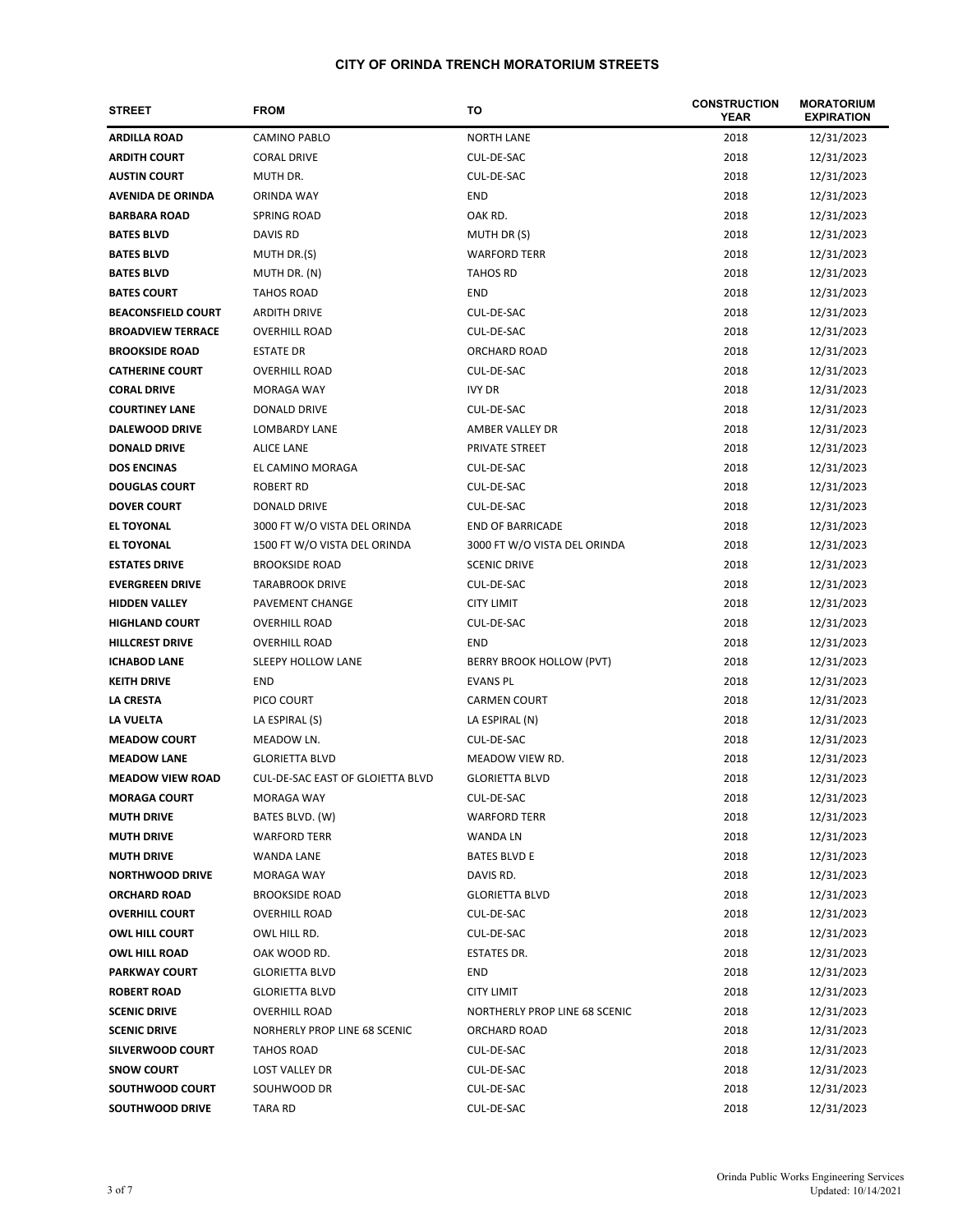| <b>STREET</b>             | <b>FROM</b>                      | то                            | <b>CONSTRUCTION</b><br>YEAR | <b>MORATORIUM</b><br><b>EXPIRATION</b> |
|---------------------------|----------------------------------|-------------------------------|-----------------------------|----------------------------------------|
| <b>ARDILLA ROAD</b>       | <b>CAMINO PABLO</b>              | <b>NORTH LANE</b>             | 2018                        | 12/31/2023                             |
| <b>ARDITH COURT</b>       | <b>CORAL DRIVE</b>               | CUL-DE-SAC                    | 2018                        | 12/31/2023                             |
| <b>AUSTIN COURT</b>       | MUTH DR.                         | CUL-DE-SAC                    | 2018                        | 12/31/2023                             |
| <b>AVENIDA DE ORINDA</b>  | <b>ORINDA WAY</b>                | <b>END</b>                    | 2018                        | 12/31/2023                             |
| <b>BARBARA ROAD</b>       | SPRING ROAD                      | OAK RD.                       | 2018                        | 12/31/2023                             |
| <b>BATES BLVD</b>         | DAVIS RD                         | MUTH DR (S)                   | 2018                        | 12/31/2023                             |
| <b>BATES BLVD</b>         | MUTH DR.(S)                      | <b>WARFORD TERR</b>           | 2018                        | 12/31/2023                             |
| <b>BATES BLVD</b>         | MUTH DR. (N)                     | <b>TAHOS RD</b>               | 2018                        | 12/31/2023                             |
| <b>BATES COURT</b>        | <b>TAHOS ROAD</b>                | <b>END</b>                    | 2018                        | 12/31/2023                             |
| <b>BEACONSFIELD COURT</b> | <b>ARDITH DRIVE</b>              | CUL-DE-SAC                    | 2018                        | 12/31/2023                             |
| <b>BROADVIEW TERRACE</b>  | <b>OVERHILL ROAD</b>             | CUL-DE-SAC                    | 2018                        | 12/31/2023                             |
| <b>BROOKSIDE ROAD</b>     | <b>ESTATE DR</b>                 | ORCHARD ROAD                  | 2018                        | 12/31/2023                             |
| <b>CATHERINE COURT</b>    | <b>OVERHILL ROAD</b>             | CUL-DE-SAC                    | 2018                        | 12/31/2023                             |
| <b>CORAL DRIVE</b>        | <b>MORAGA WAY</b>                | <b>IVY DR</b>                 | 2018                        | 12/31/2023                             |
| <b>COURTINEY LANE</b>     | DONALD DRIVE                     | CUL-DE-SAC                    | 2018                        | 12/31/2023                             |
| <b>DALEWOOD DRIVE</b>     | LOMBARDY LANE                    | AMBER VALLEY DR               | 2018                        | 12/31/2023                             |
| <b>DONALD DRIVE</b>       | <b>ALICE LANE</b>                | PRIVATE STREET                | 2018                        | 12/31/2023                             |
| <b>DOS ENCINAS</b>        | EL CAMINO MORAGA                 | CUL-DE-SAC                    | 2018                        | 12/31/2023                             |
| <b>DOUGLAS COURT</b>      | <b>ROBERT RD</b>                 | CUL-DE-SAC                    | 2018                        | 12/31/2023                             |
| <b>DOVER COURT</b>        | DONALD DRIVE                     | CUL-DE-SAC                    | 2018                        | 12/31/2023                             |
| <b>EL TOYONAL</b>         | 3000 FT W/O VISTA DEL ORINDA     | <b>END OF BARRICADE</b>       | 2018                        | 12/31/2023                             |
| <b>EL TOYONAL</b>         | 1500 FT W/O VISTA DEL ORINDA     | 3000 FT W/O VISTA DEL ORINDA  | 2018                        | 12/31/2023                             |
| <b>ESTATES DRIVE</b>      | <b>BROOKSIDE ROAD</b>            | <b>SCENIC DRIVE</b>           | 2018                        | 12/31/2023                             |
| <b>EVERGREEN DRIVE</b>    | <b>TARABROOK DRIVE</b>           | CUL-DE-SAC                    | 2018                        | 12/31/2023                             |
| <b>HIDDEN VALLEY</b>      | PAVEMENT CHANGE                  | <b>CITY LIMIT</b>             | 2018                        | 12/31/2023                             |
| <b>HIGHLAND COURT</b>     | <b>OVERHILL ROAD</b>             | CUL-DE-SAC                    | 2018                        | 12/31/2023                             |
| <b>HILLCREST DRIVE</b>    | <b>OVERHILL ROAD</b>             | <b>END</b>                    | 2018                        | 12/31/2023                             |
| <b>ICHABOD LANE</b>       | SLEEPY HOLLOW LANE               | BERRY BROOK HOLLOW (PVT)      | 2018                        | 12/31/2023                             |
| <b>KEITH DRIVE</b>        | <b>END</b>                       | <b>EVANS PL</b>               | 2018                        | 12/31/2023                             |
| <b>LA CRESTA</b>          | PICO COURT                       | <b>CARMEN COURT</b>           | 2018                        | 12/31/2023                             |
| LA VUELTA                 | LA ESPIRAL (S)                   | LA ESPIRAL (N)                | 2018                        | 12/31/2023                             |
| <b>MEADOW COURT</b>       | MEADOW LN.                       | CUL-DE-SAC                    | 2018                        | 12/31/2023                             |
| <b>MEADOW LANE</b>        | <b>GLORIETTA BLVD</b>            | MEADOW VIEW RD.               | 2018                        | 12/31/2023                             |
| <b>MEADOW VIEW ROAD</b>   | CUL-DE-SAC EAST OF GLOIETTA BLVD | <b>GLORIETTA BLVD</b>         | 2018                        | 12/31/2023                             |
| <b>MORAGA COURT</b>       | MORAGA WAY                       | CUL-DE-SAC                    | 2018                        | 12/31/2023                             |
| <b>MUTH DRIVE</b>         | BATES BLVD. (W)                  | <b>WARFORD TERR</b>           | 2018                        | 12/31/2023                             |
| <b>MUTH DRIVE</b>         | <b>WARFORD TERR</b>              | <b>WANDA LN</b>               | 2018                        | 12/31/2023                             |
| <b>MUTH DRIVE</b>         | WANDA LANE                       | <b>BATES BLVD E</b>           | 2018                        | 12/31/2023                             |
| <b>NORTHWOOD DRIVE</b>    | MORAGA WAY                       | DAVIS RD.                     | 2018                        | 12/31/2023                             |
| <b>ORCHARD ROAD</b>       | <b>BROOKSIDE ROAD</b>            | <b>GLORIETTA BLVD</b>         | 2018                        | 12/31/2023                             |
| <b>OVERHILL COURT</b>     | <b>OVERHILL ROAD</b>             | CUL-DE-SAC                    | 2018                        | 12/31/2023                             |
| <b>OWL HILL COURT</b>     | OWL HILL RD.                     | CUL-DE-SAC                    | 2018                        | 12/31/2023                             |
| <b>OWL HILL ROAD</b>      | OAK WOOD RD.                     | <b>ESTATES DR.</b>            | 2018                        | 12/31/2023                             |
| <b>PARKWAY COURT</b>      | <b>GLORIETTA BLVD</b>            | END                           | 2018                        | 12/31/2023                             |
| <b>ROBERT ROAD</b>        | <b>GLORIETTA BLVD</b>            | <b>CITY LIMIT</b>             | 2018                        | 12/31/2023                             |
| <b>SCENIC DRIVE</b>       | <b>OVERHILL ROAD</b>             | NORTHERLY PROP LINE 68 SCENIC | 2018                        | 12/31/2023                             |
| <b>SCENIC DRIVE</b>       | NORHERLY PROP LINE 68 SCENIC     | ORCHARD ROAD                  | 2018                        | 12/31/2023                             |
| <b>SILVERWOOD COURT</b>   | <b>TAHOS ROAD</b>                | CUL-DE-SAC                    | 2018                        | 12/31/2023                             |
| <b>SNOW COURT</b>         | LOST VALLEY DR                   | CUL-DE-SAC                    | 2018                        | 12/31/2023                             |
| SOUTHWOOD COURT           | SOUHWOOD DR                      | CUL-DE-SAC                    | 2018                        | 12/31/2023                             |
| <b>SOUTHWOOD DRIVE</b>    | TARA RD                          | CUL-DE-SAC                    | 2018                        | 12/31/2023                             |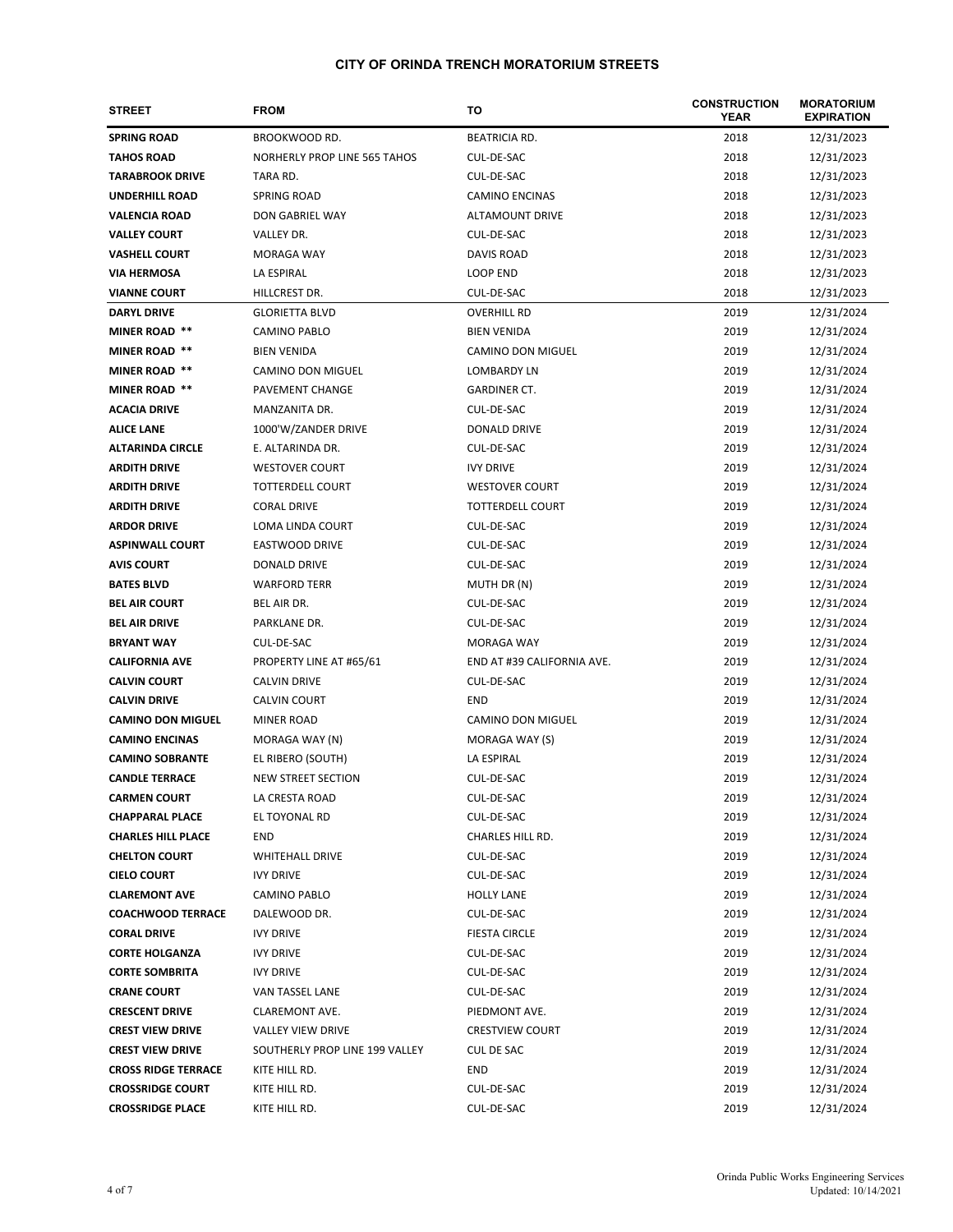| <b>STREET</b>              | <b>FROM</b>                    | то                         | <b>CONSTRUCTION</b><br>YEAR | <b>MORATORIUM</b><br><b>EXPIRATION</b> |
|----------------------------|--------------------------------|----------------------------|-----------------------------|----------------------------------------|
| <b>SPRING ROAD</b>         | BROOKWOOD RD.                  | <b>BEATRICIA RD.</b>       | 2018                        | 12/31/2023                             |
| <b>TAHOS ROAD</b>          | NORHERLY PROP LINE 565 TAHOS   | CUL-DE-SAC                 | 2018                        | 12/31/2023                             |
| <b>TARABROOK DRIVE</b>     | TARA RD.                       | CUL-DE-SAC                 | 2018                        | 12/31/2023                             |
| <b>UNDERHILL ROAD</b>      | <b>SPRING ROAD</b>             | <b>CAMINO ENCINAS</b>      | 2018                        | 12/31/2023                             |
| <b>VALENCIA ROAD</b>       | DON GABRIEL WAY                | <b>ALTAMOUNT DRIVE</b>     | 2018                        | 12/31/2023                             |
| <b>VALLEY COURT</b>        | VALLEY DR.                     | CUL-DE-SAC                 | 2018                        | 12/31/2023                             |
| <b>VASHELL COURT</b>       | MORAGA WAY                     | DAVIS ROAD                 | 2018                        | 12/31/2023                             |
| <b>VIA HERMOSA</b>         | LA ESPIRAL                     | LOOP END                   | 2018                        | 12/31/2023                             |
| <b>VIANNE COURT</b>        | HILLCREST DR.                  | CUL-DE-SAC                 | 2018                        | 12/31/2023                             |
| <b>DARYL DRIVE</b>         | <b>GLORIETTA BLVD</b>          | <b>OVERHILL RD</b>         | 2019                        | 12/31/2024                             |
| <b>MINER ROAD **</b>       | CAMINO PABLO                   | <b>BIEN VENIDA</b>         | 2019                        | 12/31/2024                             |
| <b>MINER ROAD **</b>       | <b>BIEN VENIDA</b>             | CAMINO DON MIGUEL          | 2019                        | 12/31/2024                             |
| <b>MINER ROAD **</b>       | CAMINO DON MIGUEL              | <b>LOMBARDY LN</b>         | 2019                        | 12/31/2024                             |
| <b>MINER ROAD **</b>       | PAVEMENT CHANGE                | <b>GARDINER CT.</b>        | 2019                        | 12/31/2024                             |
| <b>ACACIA DRIVE</b>        | MANZANITA DR.                  | CUL-DE-SAC                 | 2019                        | 12/31/2024                             |
| <b>ALICE LANE</b>          | 1000'W/ZANDER DRIVE            | <b>DONALD DRIVE</b>        | 2019                        | 12/31/2024                             |
| <b>ALTARINDA CIRCLE</b>    | E. ALTARINDA DR.               | CUL-DE-SAC                 | 2019                        | 12/31/2024                             |
| <b>ARDITH DRIVE</b>        | <b>WESTOVER COURT</b>          | <b>IVY DRIVE</b>           | 2019                        | 12/31/2024                             |
| <b>ARDITH DRIVE</b>        | TOTTERDELL COURT               | <b>WESTOVER COURT</b>      | 2019                        | 12/31/2024                             |
| <b>ARDITH DRIVE</b>        | <b>CORAL DRIVE</b>             | TOTTERDELL COURT           | 2019                        | 12/31/2024                             |
| <b>ARDOR DRIVE</b>         | LOMA LINDA COURT               | CUL-DE-SAC                 | 2019                        | 12/31/2024                             |
| <b>ASPINWALL COURT</b>     | <b>EASTWOOD DRIVE</b>          | CUL-DE-SAC                 | 2019                        | 12/31/2024                             |
| <b>AVIS COURT</b>          | DONALD DRIVE                   | CUL-DE-SAC                 | 2019                        | 12/31/2024                             |
| <b>BATES BLVD</b>          | <b>WARFORD TERR</b>            | MUTH DR (N)                | 2019                        | 12/31/2024                             |
| <b>BEL AIR COURT</b>       | BEL AIR DR.                    | CUL-DE-SAC                 | 2019                        | 12/31/2024                             |
| <b>BEL AIR DRIVE</b>       | PARKLANE DR.                   | CUL-DE-SAC                 | 2019                        | 12/31/2024                             |
| <b>BRYANT WAY</b>          | CUL-DE-SAC                     | MORAGA WAY                 | 2019                        | 12/31/2024                             |
| <b>CALIFORNIA AVE</b>      | PROPERTY LINE AT #65/61        | END AT #39 CALIFORNIA AVE. | 2019                        | 12/31/2024                             |
| <b>CALVIN COURT</b>        | <b>CALVIN DRIVE</b>            | CUL-DE-SAC                 | 2019                        | 12/31/2024                             |
| <b>CALVIN DRIVE</b>        | <b>CALVIN COURT</b>            | <b>END</b>                 | 2019                        | 12/31/2024                             |
| <b>CAMINO DON MIGUEL</b>   | <b>MINER ROAD</b>              | <b>CAMINO DON MIGUEL</b>   | 2019                        | 12/31/2024                             |
| <b>CAMINO ENCINAS</b>      | MORAGA WAY (N)                 | MORAGA WAY (S)             | 2019                        | 12/31/2024                             |
| <b>CAMINO SOBRANTE</b>     | EL RIBERO (SOUTH)              | LA ESPIRAL                 | 2019                        | 12/31/2024                             |
| <b>CANDLE TERRACE</b>      | NEW STREET SECTION             | CUL-DE-SAC                 | 2019                        | 12/31/2024                             |
| <b>CARMEN COURT</b>        | LA CRESTA ROAD                 | CUL-DE-SAC                 | 2019                        | 12/31/2024                             |
| <b>CHAPPARAL PLACE</b>     | EL TOYONAL RD                  | CUL-DE-SAC                 | 2019                        | 12/31/2024                             |
| <b>CHARLES HILL PLACE</b>  | END                            | CHARLES HILL RD.           | 2019                        | 12/31/2024                             |
| <b>CHELTON COURT</b>       | <b>WHITEHALL DRIVE</b>         | CUL-DE-SAC                 | 2019                        | 12/31/2024                             |
| <b>CIELO COURT</b>         | <b>IVY DRIVE</b>               | CUL-DE-SAC                 | 2019                        | 12/31/2024                             |
| <b>CLAREMONT AVE</b>       | <b>CAMINO PABLO</b>            | <b>HOLLY LANE</b>          | 2019                        | 12/31/2024                             |
| <b>COACHWOOD TERRACE</b>   | DALEWOOD DR.                   | CUL-DE-SAC                 | 2019                        | 12/31/2024                             |
| <b>CORAL DRIVE</b>         | <b>IVY DRIVE</b>               | <b>FIESTA CIRCLE</b>       | 2019                        | 12/31/2024                             |
| <b>CORTE HOLGANZA</b>      | <b>IVY DRIVE</b>               | CUL-DE-SAC                 | 2019                        | 12/31/2024                             |
| <b>CORTE SOMBRITA</b>      | <b>IVY DRIVE</b>               | CUL-DE-SAC                 | 2019                        | 12/31/2024                             |
| <b>CRANE COURT</b>         | VAN TASSEL LANE                | CUL-DE-SAC                 | 2019                        | 12/31/2024                             |
| <b>CRESCENT DRIVE</b>      | CLAREMONT AVE.                 | PIEDMONT AVE.              | 2019                        | 12/31/2024                             |
| <b>CREST VIEW DRIVE</b>    | <b>VALLEY VIEW DRIVE</b>       | <b>CRESTVIEW COURT</b>     | 2019                        | 12/31/2024                             |
| <b>CREST VIEW DRIVE</b>    | SOUTHERLY PROP LINE 199 VALLEY | <b>CUL DE SAC</b>          | 2019                        | 12/31/2024                             |
| <b>CROSS RIDGE TERRACE</b> | KITE HILL RD.                  | END                        | 2019                        | 12/31/2024                             |
| <b>CROSSRIDGE COURT</b>    | KITE HILL RD.                  | CUL-DE-SAC                 | 2019                        | 12/31/2024                             |
| <b>CROSSRIDGE PLACE</b>    | KITE HILL RD.                  | CUL-DE-SAC                 | 2019                        | 12/31/2024                             |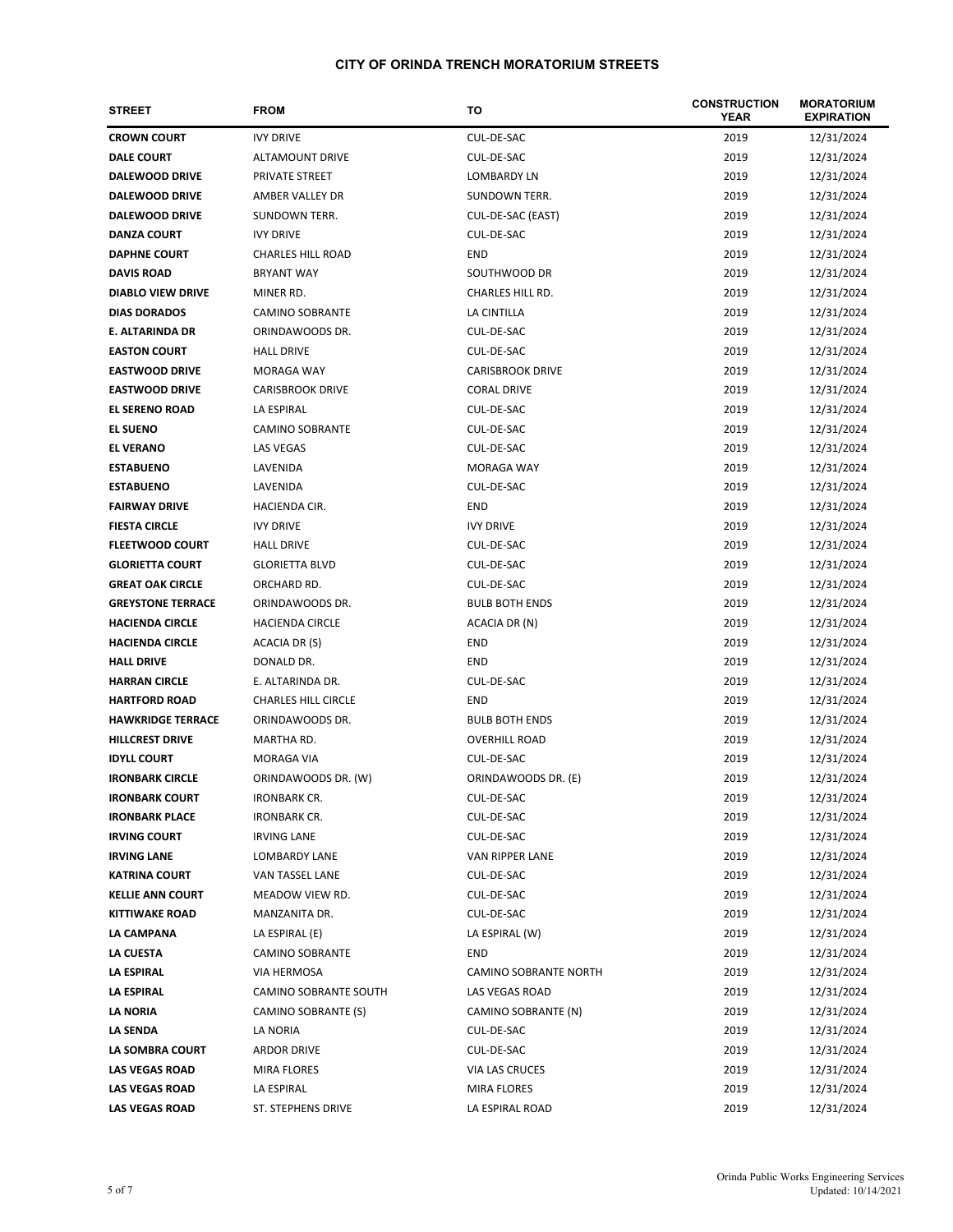| <b>STREET</b>            | <b>FROM</b>                | то                           | <b>CONSTRUCTION</b><br><b>YEAR</b> | <b>MORATORIUM</b><br><b>EXPIRATION</b> |
|--------------------------|----------------------------|------------------------------|------------------------------------|----------------------------------------|
| <b>CROWN COURT</b>       | <b>IVY DRIVE</b>           | CUL-DE-SAC                   | 2019                               | 12/31/2024                             |
| <b>DALE COURT</b>        | ALTAMOUNT DRIVE            | CUL-DE-SAC                   | 2019                               | 12/31/2024                             |
| <b>DALEWOOD DRIVE</b>    | PRIVATE STREET             | LOMBARDY LN                  | 2019                               | 12/31/2024                             |
| <b>DALEWOOD DRIVE</b>    | AMBER VALLEY DR            | <b>SUNDOWN TERR.</b>         | 2019                               | 12/31/2024                             |
| <b>DALEWOOD DRIVE</b>    | <b>SUNDOWN TERR.</b>       | CUL-DE-SAC (EAST)            | 2019                               | 12/31/2024                             |
| <b>DANZA COURT</b>       | <b>IVY DRIVE</b>           | CUL-DE-SAC                   | 2019                               | 12/31/2024                             |
| <b>DAPHNE COURT</b>      | <b>CHARLES HILL ROAD</b>   | END                          | 2019                               | 12/31/2024                             |
| <b>DAVIS ROAD</b>        | BRYANT WAY                 | SOUTHWOOD DR                 | 2019                               | 12/31/2024                             |
| <b>DIABLO VIEW DRIVE</b> | MINER RD.                  | <b>CHARLES HILL RD.</b>      | 2019                               | 12/31/2024                             |
| <b>DIAS DORADOS</b>      | <b>CAMINO SOBRANTE</b>     | LA CINTILLA                  | 2019                               | 12/31/2024                             |
| E. ALTARINDA DR          | ORINDAWOODS DR.            | CUL-DE-SAC                   | 2019                               | 12/31/2024                             |
| <b>EASTON COURT</b>      | <b>HALL DRIVE</b>          | CUL-DE-SAC                   | 2019                               | 12/31/2024                             |
| <b>EASTWOOD DRIVE</b>    | MORAGA WAY                 | <b>CARISBROOK DRIVE</b>      | 2019                               | 12/31/2024                             |
| <b>EASTWOOD DRIVE</b>    | <b>CARISBROOK DRIVE</b>    | <b>CORAL DRIVE</b>           | 2019                               | 12/31/2024                             |
| <b>EL SERENO ROAD</b>    | LA ESPIRAL                 | CUL-DE-SAC                   | 2019                               | 12/31/2024                             |
| <b>EL SUENO</b>          | <b>CAMINO SOBRANTE</b>     | CUL-DE-SAC                   | 2019                               | 12/31/2024                             |
| <b>EL VERANO</b>         | <b>LAS VEGAS</b>           | CUL-DE-SAC                   | 2019                               | 12/31/2024                             |
| <b>ESTABUENO</b>         | LAVENIDA                   | MORAGA WAY                   | 2019                               | 12/31/2024                             |
| <b>ESTABUENO</b>         | LAVENIDA                   | CUL-DE-SAC                   | 2019                               | 12/31/2024                             |
| <b>FAIRWAY DRIVE</b>     | <b>HACIENDA CIR.</b>       | END                          | 2019                               | 12/31/2024                             |
| <b>FIESTA CIRCLE</b>     | <b>IVY DRIVE</b>           | <b>IVY DRIVE</b>             | 2019                               | 12/31/2024                             |
| <b>FLEETWOOD COURT</b>   | <b>HALL DRIVE</b>          | CUL-DE-SAC                   | 2019                               | 12/31/2024                             |
| <b>GLORIETTA COURT</b>   | <b>GLORIETTA BLVD</b>      | CUL-DE-SAC                   | 2019                               | 12/31/2024                             |
| <b>GREAT OAK CIRCLE</b>  | ORCHARD RD.                | CUL-DE-SAC                   | 2019                               | 12/31/2024                             |
| <b>GREYSTONE TERRACE</b> | ORINDAWOODS DR.            | <b>BULB BOTH ENDS</b>        | 2019                               | 12/31/2024                             |
| <b>HACIENDA CIRCLE</b>   | <b>HACIENDA CIRCLE</b>     | ACACIA DR (N)                | 2019                               | 12/31/2024                             |
| <b>HACIENDA CIRCLE</b>   | ACACIA DR (S)              | END                          | 2019                               | 12/31/2024                             |
| <b>HALL DRIVE</b>        | DONALD DR.                 | END                          | 2019                               | 12/31/2024                             |
| <b>HARRAN CIRCLE</b>     | E. ALTARINDA DR.           | CUL-DE-SAC                   | 2019                               | 12/31/2024                             |
| <b>HARTFORD ROAD</b>     | <b>CHARLES HILL CIRCLE</b> | <b>END</b>                   | 2019                               | 12/31/2024                             |
| <b>HAWKRIDGE TERRACE</b> | ORINDAWOODS DR.            | <b>BULB BOTH ENDS</b>        | 2019                               | 12/31/2024                             |
| <b>HILLCREST DRIVE</b>   | MARTHA RD.                 | <b>OVERHILL ROAD</b>         | 2019                               | 12/31/2024                             |
| <b>IDYLL COURT</b>       | MORAGA VIA                 | CUL-DE-SAC                   | 2019                               | 12/31/2024                             |
| <b>IRONBARK CIRCLE</b>   | ORINDAWOODS DR. (W)        | ORINDAWOODS DR. (E)          | 2019                               | 12/31/2024                             |
| <b>IRONBARK COURT</b>    | <b>IRONBARK CR.</b>        | CUL-DE-SAC                   | 2019                               | 12/31/2024                             |
| <b>IRONBARK PLACE</b>    | <b>IRONBARK CR.</b>        | CUL-DE-SAC                   | 2019                               | 12/31/2024                             |
| <b>IRVING COURT</b>      | <b>IRVING LANE</b>         | CUL-DE-SAC                   | 2019                               | 12/31/2024                             |
| <b>IRVING LANE</b>       | LOMBARDY LANE              | VAN RIPPER LANE              | 2019                               | 12/31/2024                             |
| <b>KATRINA COURT</b>     | VAN TASSEL LANE            | CUL-DE-SAC                   | 2019                               | 12/31/2024                             |
| <b>KELLIE ANN COURT</b>  | MEADOW VIEW RD.            | CUL-DE-SAC                   | 2019                               | 12/31/2024                             |
| <b>KITTIWAKE ROAD</b>    | MANZANITA DR.              | CUL-DE-SAC                   | 2019                               | 12/31/2024                             |
| LA CAMPANA               | LA ESPIRAL (E)             | LA ESPIRAL (W)               | 2019                               | 12/31/2024                             |
| LA CUESTA                | <b>CAMINO SOBRANTE</b>     | END                          | 2019                               | 12/31/2024                             |
| <b>LA ESPIRAL</b>        | VIA HERMOSA                | <b>CAMINO SOBRANTE NORTH</b> | 2019                               | 12/31/2024                             |
| LA ESPIRAL               | CAMINO SOBRANTE SOUTH      | LAS VEGAS ROAD               | 2019                               | 12/31/2024                             |
| LA NORIA                 | CAMINO SOBRANTE (S)        | CAMINO SOBRANTE (N)          | 2019                               | 12/31/2024                             |
| LA SENDA                 | LA NORIA                   | CUL-DE-SAC                   | 2019                               | 12/31/2024                             |
| LA SOMBRA COURT          | <b>ARDOR DRIVE</b>         | CUL-DE-SAC                   | 2019                               | 12/31/2024                             |
| <b>LAS VEGAS ROAD</b>    | MIRA FLORES                | VIA LAS CRUCES               | 2019                               | 12/31/2024                             |
| <b>LAS VEGAS ROAD</b>    | LA ESPIRAL                 | MIRA FLORES                  | 2019                               | 12/31/2024                             |
| <b>LAS VEGAS ROAD</b>    | ST. STEPHENS DRIVE         | LA ESPIRAL ROAD              | 2019                               | 12/31/2024                             |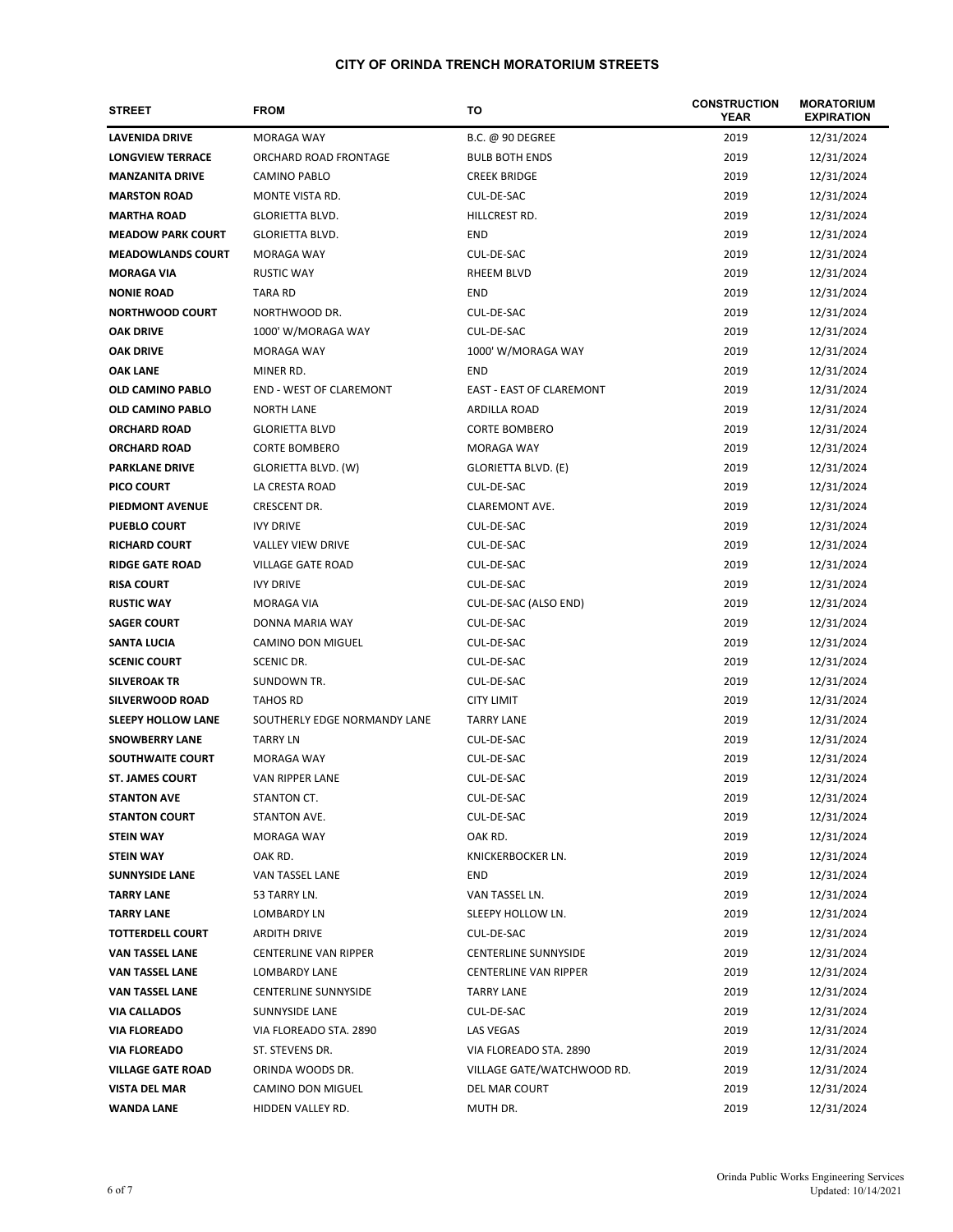| <b>STREET</b>             | <b>FROM</b>                    | то                              | <b>CONSTRUCTION</b><br><b>YEAR</b> | <b>MORATORIUM</b><br><b>EXPIRATION</b> |
|---------------------------|--------------------------------|---------------------------------|------------------------------------|----------------------------------------|
| <b>LAVENIDA DRIVE</b>     | <b>MORAGA WAY</b>              | <b>B.C. @ 90 DEGREE</b>         | 2019                               | 12/31/2024                             |
| <b>LONGVIEW TERRACE</b>   | ORCHARD ROAD FRONTAGE          | <b>BULB BOTH ENDS</b>           | 2019                               | 12/31/2024                             |
| <b>MANZANITA DRIVE</b>    | CAMINO PABLO                   | <b>CREEK BRIDGE</b>             | 2019                               | 12/31/2024                             |
| <b>MARSTON ROAD</b>       | MONTE VISTA RD.                | CUL-DE-SAC                      | 2019                               | 12/31/2024                             |
| <b>MARTHA ROAD</b>        | <b>GLORIETTA BLVD.</b>         | HILLCREST RD.                   | 2019                               | 12/31/2024                             |
| <b>MEADOW PARK COURT</b>  | <b>GLORIETTA BLVD.</b>         | <b>END</b>                      | 2019                               | 12/31/2024                             |
| <b>MEADOWLANDS COURT</b>  | <b>MORAGA WAY</b>              | CUL-DE-SAC                      | 2019                               | 12/31/2024                             |
| <b>MORAGA VIA</b>         | <b>RUSTIC WAY</b>              | RHEEM BLVD                      | 2019                               | 12/31/2024                             |
| <b>NONIE ROAD</b>         | <b>TARA RD</b>                 | <b>END</b>                      | 2019                               | 12/31/2024                             |
| <b>NORTHWOOD COURT</b>    | NORTHWOOD DR.                  | CUL-DE-SAC                      | 2019                               | 12/31/2024                             |
| <b>OAK DRIVE</b>          | 1000' W/MORAGA WAY             | CUL-DE-SAC                      | 2019                               | 12/31/2024                             |
| <b>OAK DRIVE</b>          | MORAGA WAY                     | 1000' W/MORAGA WAY              | 2019                               | 12/31/2024                             |
| <b>OAK LANE</b>           | MINER RD.                      | <b>END</b>                      | 2019                               | 12/31/2024                             |
| <b>OLD CAMINO PABLO</b>   | <b>END - WEST OF CLAREMONT</b> | <b>EAST - EAST OF CLAREMONT</b> | 2019                               | 12/31/2024                             |
| <b>OLD CAMINO PABLO</b>   | <b>NORTH LANE</b>              | ARDILLA ROAD                    | 2019                               | 12/31/2024                             |
| <b>ORCHARD ROAD</b>       | <b>GLORIETTA BLVD</b>          | <b>CORTE BOMBERO</b>            | 2019                               | 12/31/2024                             |
| <b>ORCHARD ROAD</b>       | <b>CORTE BOMBERO</b>           | <b>MORAGA WAY</b>               | 2019                               | 12/31/2024                             |
| <b>PARKLANE DRIVE</b>     | GLORIETTA BLVD. (W)            | <b>GLORIETTA BLVD. (E)</b>      | 2019                               | 12/31/2024                             |
| PICO COURT                | LA CRESTA ROAD                 | CUL-DE-SAC                      | 2019                               | 12/31/2024                             |
| PIEDMONT AVENUE           | CRESCENT DR.                   | CLAREMONT AVE.                  | 2019                               | 12/31/2024                             |
| <b>PUEBLO COURT</b>       | <b>IVY DRIVE</b>               | CUL-DE-SAC                      | 2019                               | 12/31/2024                             |
| <b>RICHARD COURT</b>      | <b>VALLEY VIEW DRIVE</b>       | CUL-DE-SAC                      | 2019                               | 12/31/2024                             |
| <b>RIDGE GATE ROAD</b>    | VILLAGE GATE ROAD              | CUL-DE-SAC                      | 2019                               | 12/31/2024                             |
| <b>RISA COURT</b>         | <b>IVY DRIVE</b>               | CUL-DE-SAC                      | 2019                               | 12/31/2024                             |
| <b>RUSTIC WAY</b>         | MORAGA VIA                     | CUL-DE-SAC (ALSO END)           | 2019                               | 12/31/2024                             |
| <b>SAGER COURT</b>        | DONNA MARIA WAY                | CUL-DE-SAC                      | 2019                               | 12/31/2024                             |
| SANTA LUCIA               | CAMINO DON MIGUEL              | CUL-DE-SAC                      | 2019                               | 12/31/2024                             |
| <b>SCENIC COURT</b>       | SCENIC DR.                     | CUL-DE-SAC                      | 2019                               | 12/31/2024                             |
| <b>SILVEROAK TR</b>       | SUNDOWN TR.                    | CUL-DE-SAC                      | 2019                               | 12/31/2024                             |
| SILVERWOOD ROAD           | <b>TAHOS RD</b>                | <b>CITY LIMIT</b>               | 2019                               | 12/31/2024                             |
| <b>SLEEPY HOLLOW LANE</b> | SOUTHERLY EDGE NORMANDY LANE   | <b>TARRY LANE</b>               | 2019                               | 12/31/2024                             |
| <b>SNOWBERRY LANE</b>     | <b>TARRY LN</b>                | CUL-DE-SAC                      | 2019                               | 12/31/2024                             |
| SOUTHWAITE COURT          | <b>MORAGA WAY</b>              | CUL-DE-SAC                      | 2019                               | 12/31/2024                             |
| <b>ST. JAMES COURT</b>    | VAN RIPPER LANE                | CUL-DE-SAC                      | 2019                               | 12/31/2024                             |
| <b>STANTON AVE</b>        | STANTON CT.                    | CUL-DE-SAC                      | 2019                               | 12/31/2024                             |
| <b>STANTON COURT</b>      | STANTON AVE.                   | CUL-DE-SAC                      | 2019                               | 12/31/2024                             |
| <b>STEIN WAY</b>          | MORAGA WAY                     | OAK RD.                         | 2019                               | 12/31/2024                             |
| <b>STEIN WAY</b>          | OAK RD.                        | KNICKERBOCKER LN.               | 2019                               | 12/31/2024                             |
| <b>SUNNYSIDE LANE</b>     | VAN TASSEL LANE                | END                             | 2019                               | 12/31/2024                             |
| <b>TARRY LANE</b>         | 53 TARRY LN.                   | VAN TASSEL LN.                  | 2019                               | 12/31/2024                             |
| <b>TARRY LANE</b>         | LOMBARDY LN                    | SLEEPY HOLLOW LN.               | 2019                               | 12/31/2024                             |
| <b>TOTTERDELL COURT</b>   | <b>ARDITH DRIVE</b>            | CUL-DE-SAC                      | 2019                               | 12/31/2024                             |
| VAN TASSEL LANE           | <b>CENTERLINE VAN RIPPER</b>   | <b>CENTERLINE SUNNYSIDE</b>     | 2019                               | 12/31/2024                             |
| <b>VAN TASSEL LANE</b>    | LOMBARDY LANE                  | <b>CENTERLINE VAN RIPPER</b>    | 2019                               | 12/31/2024                             |
| <b>VAN TASSEL LANE</b>    | <b>CENTERLINE SUNNYSIDE</b>    | <b>TARRY LANE</b>               | 2019                               | 12/31/2024                             |
| <b>VIA CALLADOS</b>       | SUNNYSIDE LANE                 | CUL-DE-SAC                      | 2019                               | 12/31/2024                             |
| <b>VIA FLOREADO</b>       | VIA FLOREADO STA. 2890         | LAS VEGAS                       | 2019                               | 12/31/2024                             |
| <b>VIA FLOREADO</b>       | ST. STEVENS DR.                | VIA FLOREADO STA. 2890          | 2019                               | 12/31/2024                             |
| <b>VILLAGE GATE ROAD</b>  | ORINDA WOODS DR.               | VILLAGE GATE/WATCHWOOD RD.      | 2019                               | 12/31/2024                             |
| <b>VISTA DEL MAR</b>      | CAMINO DON MIGUEL              | DEL MAR COURT                   | 2019                               | 12/31/2024                             |
| <b>WANDA LANE</b>         | HIDDEN VALLEY RD.              | MUTH DR.                        | 2019                               | 12/31/2024                             |